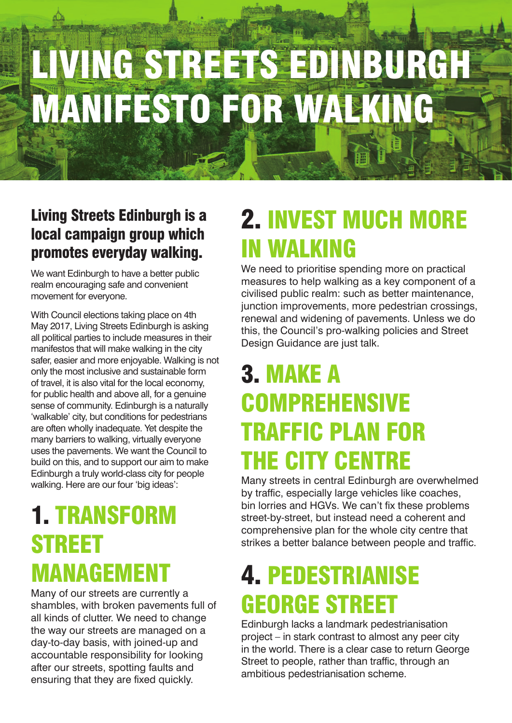# LIVING STREETS EDINBURGH MANIFESTO FOR WALKING

#### Living Streets Edinburgh is a local campaign group which promotes everyday walking.

We want Edinburgh to have a better public realm encouraging safe and convenient movement for everyone.

With Council elections taking place on 4th May 2017, Living Streets Edinburgh is asking all political parties to include measures in their manifestos that will make walking in the city safer, easier and more enjoyable. Walking is not only the most inclusive and sustainable form of travel, it is also vital for the local economy, for public health and above all, for a genuine sense of community. Edinburgh is a naturally 'walkable' city, but conditions for pedestrians are often wholly inadequate. Yet despite the many barriers to walking, virtually everyone uses the pavements. We want the Council to build on this, and to support our aim to make Edinburgh a truly world-class city for people walking. Here are our four 'big ideas':

#### 1. TRANSFORM STREET MANAGEMENT

Many of our streets are currently a shambles, with broken pavements full of all kinds of clutter. We need to change the way our streets are managed on a day-to-day basis, with joined-up and accountable responsibility for looking after our streets, spotting faults and ensuring that they are fixed quickly.

### 2. INVEST MUCH MORE IN WALKING

We need to prioritise spending more on practical measures to help walking as a key component of a civilised public realm: such as better maintenance, junction improvements, more pedestrian crossings, renewal and widening of pavements. Unless we do this, the Council's pro-walking policies and Street Design Guidance are just talk.

#### 3. MAKE A **COMPREHENSIVE** TRAFFIC PLAN FOR THE CITY CENTRE

Many streets in central Edinburgh are overwhelmed by traffic, especially large vehicles like coaches, bin lorries and HGVs. We can't fix these problems street-by-street, but instead need a coherent and comprehensive plan for the whole city centre that strikes a better balance between people and traffic.

#### 4. PEDESTRIANISE GEORGE STREET

Edinburgh lacks a landmark pedestrianisation project – in stark contrast to almost any peer city in the world. There is a clear case to return George Street to people, rather than traffic, through an ambitious pedestrianisation scheme.